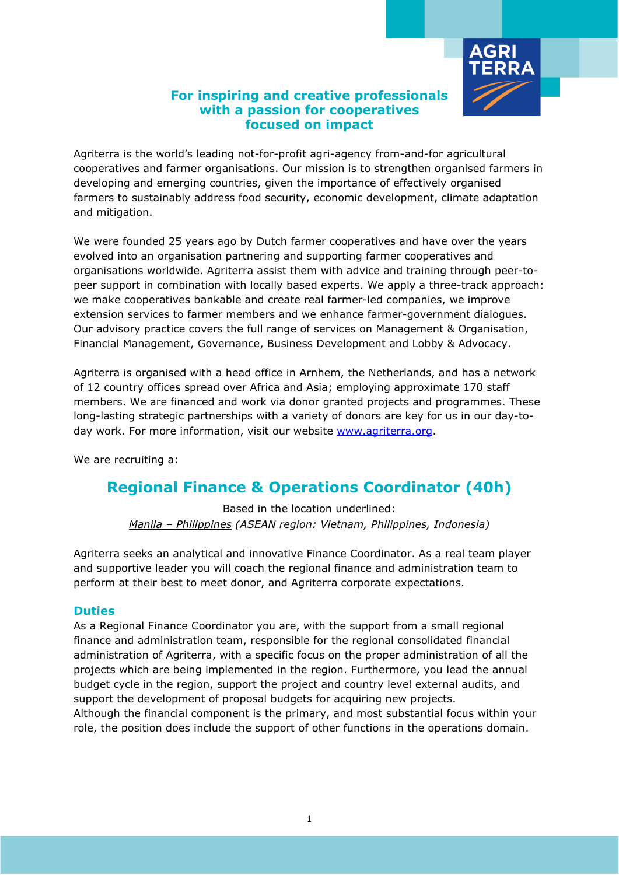

## **For inspiring and creative professionals with a passion for cooperatives focused on impact**

Agriterra is the world's leading not-for-profit agri-agency from-and-for agricultural cooperatives and farmer organisations. Our mission is to strengthen organised farmers in developing and emerging countries, given the importance of effectively organised farmers to sustainably address food security, economic development, climate adaptation and mitigation.

We were founded 25 years ago by Dutch farmer cooperatives and have over the years evolved into an organisation partnering and supporting farmer cooperatives and organisations worldwide. Agriterra assist them with advice and training through peer-topeer support in combination with locally based experts. We apply a three-track approach: we make cooperatives bankable and create real farmer-led companies, we improve extension services to farmer members and we enhance farmer-government dialogues. Our advisory practice covers the full range of services on Management & Organisation, Financial Management, Governance, Business Development and Lobby & Advocacy.

Agriterra is organised with a head office in Arnhem, the Netherlands, and has a network of 12 country offices spread over Africa and Asia; employing approximate 170 staff members. We are financed and work via donor granted projects and programmes. These long-lasting strategic partnerships with a variety of donors are key for us in our day-today work. For more information, visit our website [www.agriterra.org.](http://www.agriterra.org/)

We are recruiting a:

# **Regional Finance & Operations Coordinator (40h)**

Based in the location underlined: *Manila – Philippines (ASEAN region: Vietnam, Philippines, Indonesia)*

Agriterra seeks an analytical and innovative Finance Coordinator. As a real team player and supportive leader you will coach the regional finance and administration team to perform at their best to meet donor, and Agriterra corporate expectations.

### **Duties**

As a Regional Finance Coordinator you are, with the support from a small regional finance and administration team, responsible for the regional consolidated financial administration of Agriterra, with a specific focus on the proper administration of all the projects which are being implemented in the region. Furthermore, you lead the annual budget cycle in the region, support the project and country level external audits, and support the development of proposal budgets for acquiring new projects. Although the financial component is the primary, and most substantial focus within your role, the position does include the support of other functions in the operations domain.